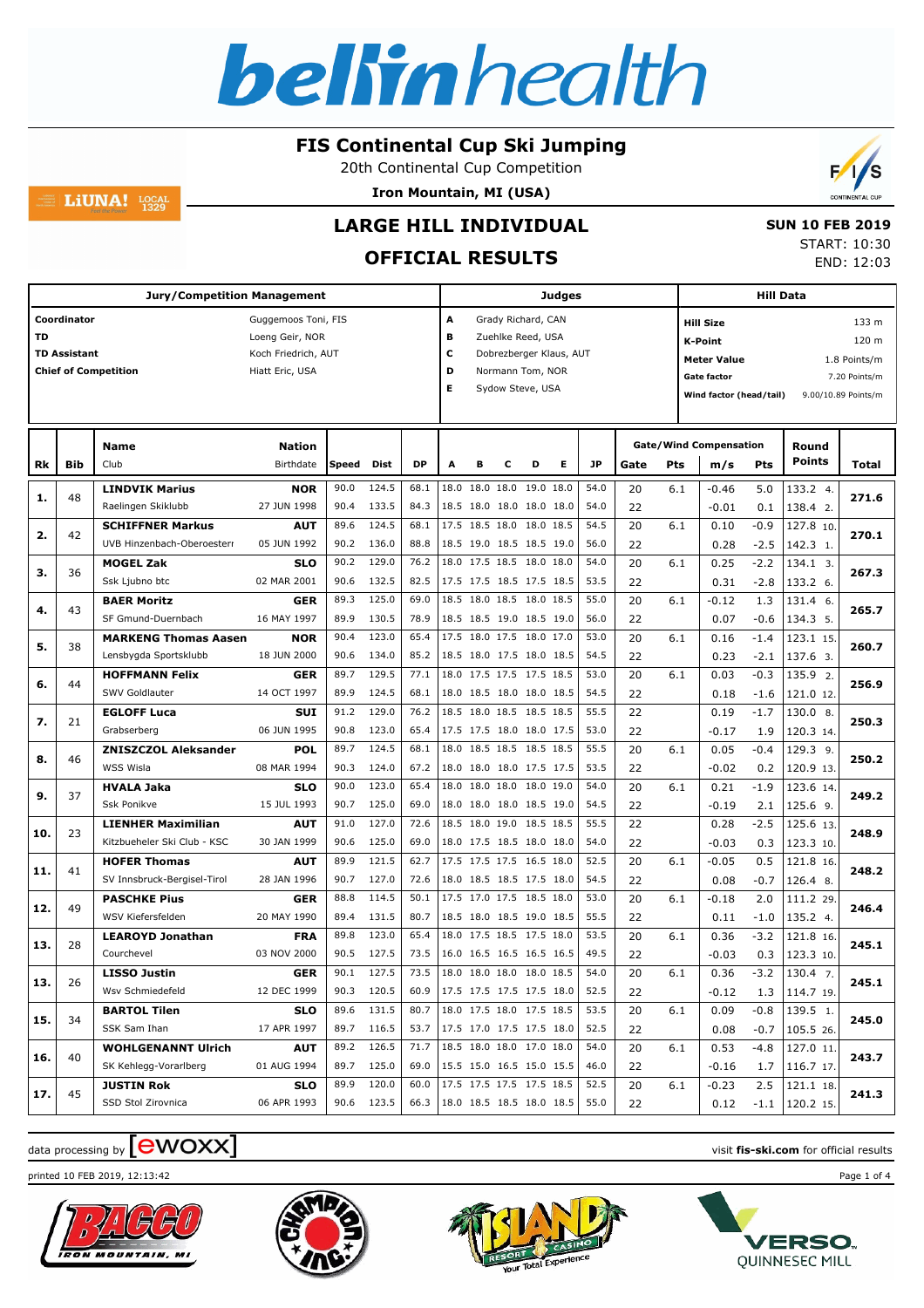

20th Continental Cup Competition

**Iron Mountain, MI (USA)**



LiUNA!  $_{1329}^{LOCAL}$ 

## **LARGE HILL INDIVIDUAL OFFICIAL RESULTS**

 **SUN 10 FEB 2019** START: 10:30 END: 12:03

| <b>Jury/Competition Management</b> |                     |                             |                     |       |            |           |   |   |   |                          | <b>Judges</b>            |           |      |            |                               |        | <b>Hill Data</b>   |                     |
|------------------------------------|---------------------|-----------------------------|---------------------|-------|------------|-----------|---|---|---|--------------------------|--------------------------|-----------|------|------------|-------------------------------|--------|--------------------|---------------------|
|                                    | Coordinator         |                             | Guggemoos Toni, FIS |       |            |           | A |   |   | Grady Richard, CAN       |                          |           |      |            | <b>Hill Size</b>              |        |                    | 133 m               |
| TD                                 |                     |                             | Loeng Geir, NOR     |       |            |           | в |   |   | Zuehlke Reed, USA        |                          |           |      |            | <b>K-Point</b>                |        |                    | 120 m               |
|                                    | <b>TD Assistant</b> |                             | Koch Friedrich, AUT |       |            |           | c |   |   |                          | Dobrezberger Klaus, AUT  |           |      |            | <b>Meter Value</b>            |        |                    | 1.8 Points/m        |
|                                    |                     | <b>Chief of Competition</b> | Hiatt Eric, USA     |       |            |           | D |   |   | Normann Tom, NOR         |                          |           |      |            | <b>Gate factor</b>            |        |                    | 7.20 Points/m       |
|                                    |                     |                             |                     |       |            |           | E |   |   | Sydow Steve, USA         |                          |           |      |            | Wind factor (head/tail)       |        |                    | 9.00/10.89 Points/m |
|                                    |                     |                             |                     |       |            |           |   |   |   |                          |                          |           |      |            |                               |        |                    |                     |
|                                    |                     | <b>Name</b>                 | <b>Nation</b>       |       |            |           |   |   |   |                          |                          |           |      |            | <b>Gate/Wind Compensation</b> |        | Round              |                     |
| Rk                                 | <b>Bib</b>          | Club                        | Birthdate           | Speed | Dist       | <b>DP</b> | A | B | с | D                        | Е                        | <b>JP</b> | Gate | <b>Pts</b> | m/s                           | Pts    | <b>Points</b>      | Total               |
|                                    |                     | <b>LINDVIK Marius</b>       | <b>NOR</b>          | 90.0  | 124.5      | 68.1      |   |   |   | 18.0 18.0 18.0 19.0 18.0 |                          | 54.0      | 20   | 6.1        | $-0.46$                       | 5.0    | 133.2 4.           |                     |
| 1.                                 | 48                  | Raelingen Skiklubb          | 27 JUN 1998         | 90.4  | 133.5      | 84.3      |   |   |   | 18.5 18.0 18.0 18.0 18.0 |                          | 54.0      | 22   |            | $-0.01$                       | 0.1    | 138.4 2.           | 271.6               |
|                                    |                     | <b>SCHIFFNER Markus</b>     | <b>AUT</b>          | 89.6  | 124.5      | 68.1      |   |   |   | 17.5 18.5 18.0 18.0 18.5 |                          | 54.5      | 20   | 6.1        | 0.10                          | $-0.9$ | 127.8 10.          |                     |
| 2.                                 | 42                  | UVB Hinzenbach-Oberoesterr  | 05 JUN 1992         | 90.2  | 136.0      | 88.8      |   |   |   | 18.5 19.0 18.5 18.5 19.0 |                          | 56.0      | 22   |            | 0.28                          | $-2.5$ | 142.3 1.           | 270.1               |
| з.                                 |                     | <b>MOGEL Zak</b>            | <b>SLO</b>          | 90.2  | 129.0      | 76.2      |   |   |   | 18.0 17.5 18.5 18.0 18.0 |                          | 54.0      | 20   | 6.1        | 0.25                          | $-2.2$ | 134.1 3.           | 267.3               |
|                                    | 36                  | Ssk Ljubno btc              | 02 MAR 2001         | 90.6  | 132.5      | 82.5      |   |   |   | 17.5 17.5 18.5 17.5 18.5 |                          | 53.5      | 22   |            | 0.31                          | $-2.8$ | 133.2 6.           |                     |
| 4.                                 | 43                  | <b>BAER Moritz</b>          | <b>GER</b>          | 89.3  | 125.0      | 69.0      |   |   |   | 18.5 18.0 18.5 18.0 18.5 |                          | 55.0      | 20   | 6.1        | $-0.12$                       | 1.3    | 131.4 6.           | 265.7               |
|                                    |                     | SF Gmund-Duernbach          | 16 MAY 1997         | 89.9  | 130.5      | 78.9      |   |   |   | 18.5 18.5 19.0 18.5 19.0 |                          | 56.0      | 22   |            | 0.07                          | $-0.6$ | 134.3 5.           |                     |
| 5.                                 | 38                  | <b>MARKENG Thomas Aasen</b> | <b>NOR</b>          | 90.4  | 123.0      | 65.4      |   |   |   | 17.5 18.0 17.5 18.0 17.0 |                          | 53.0      | 20   | 6.1        | 0.16                          | $-1.4$ | 123.1 15.          | 260.7               |
|                                    |                     | Lensbygda Sportsklubb       | 18 JUN 2000         | 90.6  | 134.0      | 85.2      |   |   |   | 18.5 18.0 17.5 18.0 18.5 |                          | 54.5      | 22   |            | 0.23                          | $-2.1$ | 137.6 3.           |                     |
| 6.                                 | 44                  | <b>HOFFMANN Felix</b>       | <b>GER</b>          | 89.7  | 129.5      | 77.1      |   |   |   | 18.0 17.5 17.5 17.5 18.5 |                          | 53.0      | 20   | 6.1        | 0.03                          | $-0.3$ | 135.9 2.           | 256.9               |
|                                    |                     | SWV Goldlauter              | 14 OCT 1997         | 89.9  | 124.5      | 68.1      |   |   |   | 18.0 18.5 18.0 18.0 18.5 |                          | 54.5      | 22   |            | 0.18                          | $-1.6$ | 121.0 12.          |                     |
| 7.                                 | 21                  | <b>EGLOFF Luca</b>          | <b>SUI</b>          | 91.2  | 129.0      | 76.2      |   |   |   | 18.5 18.0 18.5 18.5 18.5 |                          | 55.5      | 22   |            | 0.19                          | $-1.7$ | 130.0 8.           | 250.3               |
|                                    |                     | Grabserberg                 | 06 JUN 1995         | 90.8  | 123.0      | 65.4      |   |   |   | 17.5 17.5 18.0 18.0 17.5 |                          | 53.0      | 22   |            | $-0.17$                       | 1.9    | 120.3 14.          |                     |
| 8.                                 | 46                  | <b>ZNISZCZOL Aleksander</b> | <b>POL</b>          | 89.7  | 124.5      | 68.1      |   |   |   | 18.0 18.5 18.5 18.5 18.5 |                          | 55.5      | 20   | 6.1        | 0.05                          | $-0.4$ | 129.3 9.           | 250.2               |
|                                    |                     | WSS Wisla                   | 08 MAR 1994         | 90.3  | 124.0      | 67.2      |   |   |   | 18.0 18.0 18.0 17.5 17.5 |                          | 53.5      | 22   |            | $-0.02$                       | 0.2    | 120.9 13.          |                     |
| 9.                                 | 37                  | <b>HVALA Jaka</b>           | <b>SLO</b>          | 90.0  | 123.0      | 65.4      |   |   |   | 18.0 18.0 18.0 18.0 19.0 |                          | 54.0      | 20   | 6.1        | 0.21                          | $-1.9$ | 123.6 14.          | 249.2               |
|                                    |                     | <b>Ssk Ponikve</b>          | 15 JUL 1993         | 90.7  | 125.0      | 69.0      |   |   |   | 18.0 18.0 18.0 18.5 19.0 |                          | 54.5      | 22   |            | $-0.19$                       | 2.1    | 125.6 9.           |                     |
| 10.                                | 23                  | <b>LIENHER Maximilian</b>   | <b>AUT</b>          | 91.0  | 127.0      | 72.6      |   |   |   | 18.5 18.0 19.0 18.5 18.5 |                          | 55.5      | 22   |            | 0.28                          | $-2.5$ | 125.6 13.          | 248.9               |
|                                    |                     | Kitzbueheler Ski Club - KSC | 30 JAN 1999         | 90.6  | 125.0      | 69.0      |   |   |   | 18.0 17.5 18.5 18.0 18.0 |                          | 54.0      | 22   |            | $-0.03$                       | 0.3    | 123.3 10.          |                     |
| 11.                                | 41                  | <b>HOFER Thomas</b>         | <b>AUT</b>          | 89.9  | 121.5      | 62.7      |   |   |   | 17.5 17.5 17.5 16.5 18.0 |                          | 52.5      | 20   | 6.1        | $-0.05$                       | 0.5    | 121.8 16.          | 248.2               |
|                                    |                     | SV Innsbruck-Bergisel-Tirol | 28 JAN 1996         | 90.7  | 127.0      | 72.6      |   |   |   | 18.0 18.5 18.5 17.5 18.0 |                          | 54.5      | 22   |            | 0.08                          | $-0.7$ | 126.4 8.           |                     |
| 12.                                | 49                  | <b>PASCHKE Pius</b>         | <b>GER</b>          | 88.8  | 114.5      | 50.1      |   |   |   | 17.5 17.0 17.5 18.5 18.0 |                          | 53.0      | 20   | 6.1        | $-0.18$                       | 2.0    | 111.2 29.          | 246.4               |
|                                    |                     | WSV Kiefersfelden           | 20 MAY 1990         | 89.4  | 131.5      | 80.7      |   |   |   | 18.5 18.0 18.5 19.0 18.5 |                          | 55.5      | 22   |            | 0.11                          | $-1.0$ | 135.2 4.           |                     |
| 13.                                | 28                  | <b>LEAROYD Jonathan</b>     | <b>FRA</b>          | 89.8  | 123.0      | 65.4      |   |   |   | 18.0 17.5 18.5 17.5 18.0 |                          | 53.5      | 20   | 6.1        | 0.36                          | $-3.2$ | 121.8 16.          | 245.1               |
|                                    |                     | Courchevel                  | 03 NOV 2000         | 90.5  | 127.5      | 73.5      |   |   |   | 16.0 16.5 16.5 16.5 16.5 |                          | 49.5      | 22   |            | $-0.03$                       | 0.3    | 123.3 10.          |                     |
| 13.                                | 26                  | <b>LISSO Justin</b>         | <b>GER</b>          | 90.1  | 127.5      | 73.5      |   |   |   | 18.0 18.0 18.0 18.0 18.5 |                          | 54.0      | 20   | 6.1        | 0.36                          | $-3.2$ | $130.4$ 7.         | 245.1               |
|                                    |                     | Wsv Schmiedefeld            | 12 DEC 1999         |       | 90.3 120.5 | 60.9      |   |   |   | 17.5 17.5 17.5 17.5 18.0 |                          | 52.5      | 22   |            | $-0.12$                       | 1.3    | 114.7 19.          |                     |
| 15.                                | 34                  | <b>BARTOL Tilen</b>         | <b>SLO</b>          | 89.6  | 131.5      | 80.7      |   |   |   | 18.0 17.5 18.0 17.5 18.5 |                          | 53.5      | 20   | 6.1        | 0.09                          | -0.8   | 139.5 1.           | 245.0               |
|                                    |                     | SSK Sam Ihan                | 17 APR 1997         |       | 89.7 116.5 | 53.7      |   |   |   | 17.5 17.0 17.5 17.5 18.0 |                          | 52.5      | 22   |            | 0.08                          | $-0.7$ | 105.5 26.          |                     |
| 16.                                | 40                  | <b>WOHLGENANNT Ulrich</b>   | <b>AUT</b>          | 89.2  | 126.5      | 71.7      |   |   |   | 18.5 18.0 18.0 17.0 18.0 |                          | 54.0      | 20   | 6.1        | 0.53                          | -4.8   | 127.0 11.          | 243.7               |
|                                    |                     | SK Kehlegg-Vorarlberg       | 01 AUG 1994         |       | 89.7 125.0 | 69.0      |   |   |   | 15.5 15.0 16.5 15.0 15.5 |                          | 46.0      | 22   |            | $-0.16$                       | 1.7    | 116.7 17.          |                     |
| 17.                                | 45                  | <b>JUSTIN Rok</b>           | <b>SLO</b>          | 89.9  | 120.0      | 60.0      |   |   |   | 17.5 17.5 17.5 17.5 18.5 |                          | 52.5      | 20   | 6.1        | $-0.23$                       | 2.5    | 121.1 18.          | 241.3               |
|                                    |                     | SSD Stol Zirovnica          | 06 APR 1993         |       | 90.6 123.5 | 66.3      |   |   |   |                          | 18.0 18.5 18.5 18.0 18.5 | 55.0      | 22   |            | 0.12                          |        | $-1.1$   120.2 15. |                     |

# data processing by **CWOXX** and  $\blacksquare$  wisit **fis-ski.com** for official results









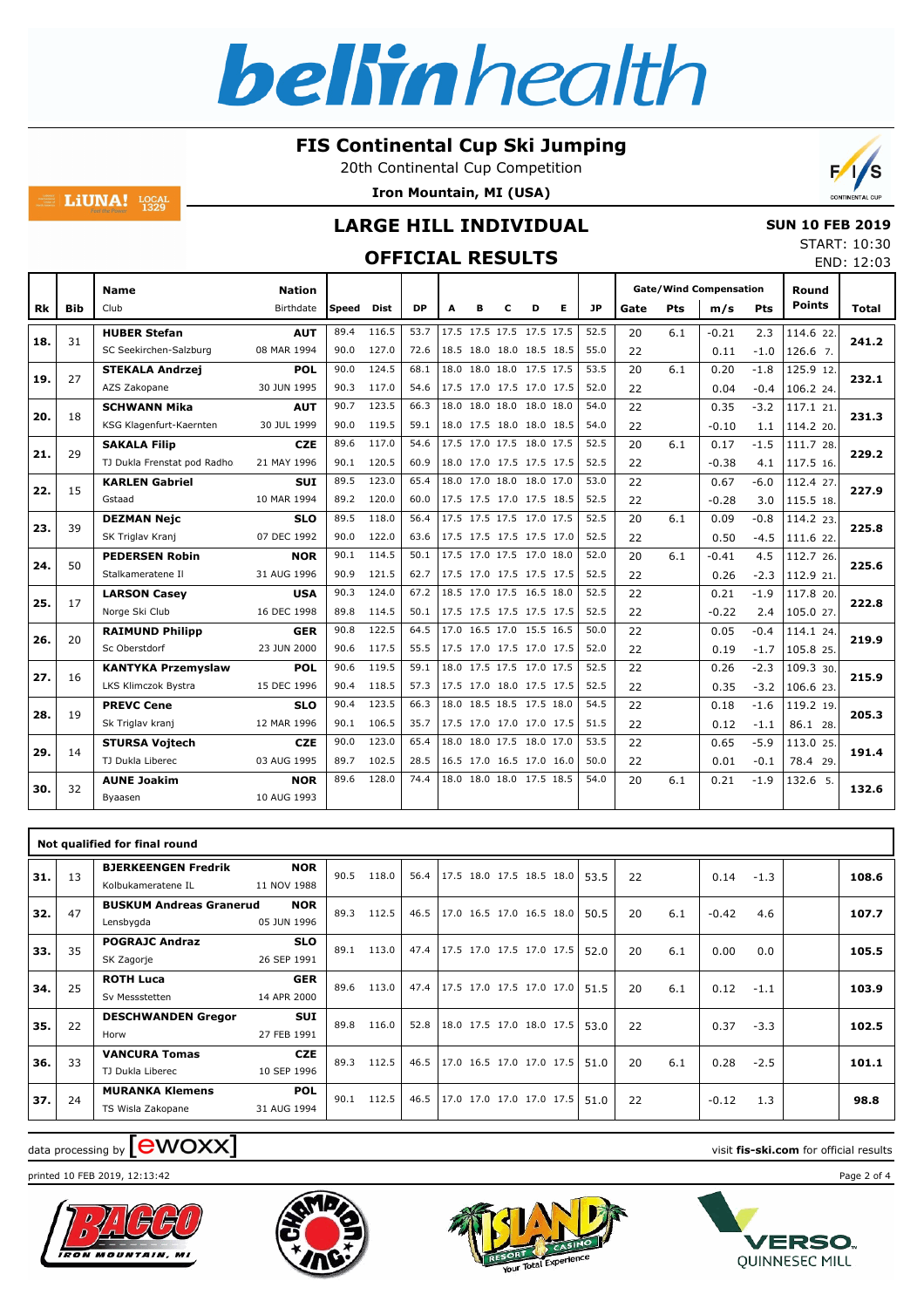

20th Continental Cup Competition

**Iron Mountain, MI (USA)**



## **LARGE HILL INDIVIDUAL**

# **OFFICIAL RESULTS**

| <b>SUN 10 FEB 2019</b> |                  |  |
|------------------------|------------------|--|
|                        | START: 10:30     |  |
|                        | <b>---- 1222</b> |  |

|     |            |                                               |                            |              | UFFILIAL KESULIS |              |                          |   |   |                                                      |   |              |          |     |                                      |                  |                        | END: 12:03   |
|-----|------------|-----------------------------------------------|----------------------------|--------------|------------------|--------------|--------------------------|---|---|------------------------------------------------------|---|--------------|----------|-----|--------------------------------------|------------------|------------------------|--------------|
| Rk  | <b>Bib</b> | Name<br>Club                                  | <b>Nation</b><br>Birthdate | Speed        | Dist             | <b>DP</b>    | A                        | в | c | D                                                    | Е | JP           | Gate     | Pts | <b>Gate/Wind Compensation</b><br>m/s | Pts              | Round<br><b>Points</b> | <b>Total</b> |
| 18. | 31         | <b>HUBER Stefan</b><br>SC Seekirchen-Salzburg | <b>AUT</b><br>08 MAR 1994  | 89.4<br>90.0 | 116.5<br>127.0   | 53.7<br>72.6 |                          |   |   | 17.5 17.5 17.5 17.5 17.5<br>18.5 18.0 18.0 18.5 18.5 |   | 52.5<br>55.0 | 20<br>22 | 6.1 | $-0.21$<br>0.11                      | 2.3<br>$-1.0$    | 114.6 22.<br>126.6 7.  | 241.2        |
|     |            | <b>STEKALA Andrzej</b>                        | POL                        | 90.0         | 124.5            | 68.1         | 18.0 18.0 18.0 17.5 17.5 |   |   |                                                      |   | 53.5         | 20       | 6.1 | 0.20                                 | $-1.8$           | 125.9 12.              |              |
| 19. | 27         | AZS Zakopane                                  | 30 JUN 1995                | 90.3         | 117.0            | 54.6         |                          |   |   | 17.5 17.0 17.5 17.0 17.5                             |   | 52.0         | 22       |     | 0.04                                 | $-0.4$           | 106.2 24.              | 232.1        |
| 20. | 18         | <b>SCHWANN Mika</b>                           | <b>AUT</b>                 | 90.7         | 123.5            | 66.3         |                          |   |   | 18.0 18.0 18.0 18.0 18.0                             |   | 54.0         | 22       |     | 0.35                                 | $-3.2$           | 117.1 21.              | 231.3        |
|     |            | KSG Klagenfurt-Kaernten                       | 30 JUL 1999                | 90.0         | 119.5            | 59.1         |                          |   |   | 18.0 17.5 18.0 18.0 18.5                             |   | 54.0         | 22       |     | $-0.10$                              | 1.1              | 114.2 20.              |              |
| 21. | 29         | <b>SAKALA Filip</b>                           | <b>CZE</b>                 | 89.6         | 117.0            | 54.6         |                          |   |   | 17.5 17.0 17.5 18.0 17.5                             |   | 52.5         | 20       | 6.1 | 0.17                                 | $-1.5$           | 111.7 28.              | 229.2        |
|     |            | TJ Dukla Frenstat pod Radho                   | 21 MAY 1996                | 90.1         | 120.5            | 60.9         |                          |   |   | 18.0 17.0 17.5 17.5 17.5                             |   | 52.5         | 22       |     | $-0.38$                              | 4.1              | 117.5 16.              |              |
| 22. | 15         | <b>KARLEN Gabriel</b><br>Gstaad               | <b>SUI</b><br>10 MAR 1994  | 89.5<br>89.2 | 123.0<br>120.0   | 65.4<br>60.0 |                          |   |   | 18.0 17.0 18.0 18.0 17.0<br>17.5 17.5 17.0 17.5 18.5 |   | 53.0<br>52.5 | 22<br>22 |     | 0.67<br>$-0.28$                      | $-6.0$<br>3.0    | 112.4 27.<br>115.5 18. | 227.9        |
|     |            | <b>DEZMAN Nejc</b>                            | <b>SLO</b>                 | 89.5         | 118.0            | 56.4         | 17.5 17.5 17.5 17.0 17.5 |   |   |                                                      |   | 52.5         | 20       | 6.1 | 0.09                                 | $-0.8$           | 114.2 23.              |              |
| 23. | 39         | SK Triglav Kranj                              | 07 DEC 1992                | 90.0         | 122.0            | 63.6         |                          |   |   | 17.5 17.5 17.5 17.5 17.0                             |   | 52.5         | 22       |     | 0.50                                 | $-4.5$           | 111.6 22.              | 225.8        |
|     |            | <b>PEDERSEN Robin</b>                         | <b>NOR</b>                 | 90.1         | 114.5            | 50.1         |                          |   |   | 17.5 17.0 17.5 17.0 18.0                             |   | 52.0         | 20       | 6.1 | $-0.41$                              | 4.5              | 112.7 26.              |              |
| 24. | 50         | Stalkameratene II                             | 31 AUG 1996                | 90.9         | 121.5            | 62.7         |                          |   |   | 17.5 17.0 17.5 17.5 17.5                             |   | 52.5         | 22       |     | 0.26                                 | $-2.3$           | 112.9 21.              | 225.6        |
| 25. | 17         | <b>LARSON Casey</b>                           | <b>USA</b>                 | 90.3         | 124.0            | 67.2         |                          |   |   | 18.5 17.0 17.5 16.5 18.0                             |   | 52.5         | 22       |     | 0.21                                 | $-1.9$           | 117.8 20.              | 222.8        |
|     |            | Norge Ski Club                                | 16 DEC 1998                | 89.8         | 114.5            | 50.1         |                          |   |   | 17.5 17.5 17.5 17.5 17.5                             |   | 52.5         | 22       |     | $-0.22$                              | 2.4              | 105.0 27.              |              |
| 26. | 20         | <b>RAIMUND Philipp</b>                        | <b>GER</b>                 | 90.8         | 122.5            | 64.5         |                          |   |   | 17.0 16.5 17.0 15.5 16.5                             |   | 50.0         | 22       |     | 0.05                                 | $-0.4$           | 114.1 24.              | 219.9        |
|     |            | Sc Oberstdorf                                 | 23 JUN 2000                | 90.6         | 117.5            | 55.5         |                          |   |   | 17.5 17.0 17.5 17.0 17.5                             |   | 52.0         | 22       |     | 0.19                                 | $-1.7$           | 105.8 25.              |              |
| 27. | 16         | <b>KANTYKA Przemyslaw</b>                     | POL                        | 90.6         | 119.5            | 59.1         |                          |   |   | 18.0 17.5 17.5 17.0 17.5                             |   | 52.5         | 22       |     | 0.26                                 | $-2.3$           | 109.3 30.              | 215.9        |
|     |            | LKS Klimczok Bystra<br><b>PREVC Cene</b>      | 15 DEC 1996<br>SLO         | 90.4<br>90.4 | 118.5<br>123.5   | 57.3<br>66.3 |                          |   |   | 17.5 17.0 18.0 17.5 17.5<br>18.0 18.5 18.5 17.5 18.0 |   | 52.5<br>54.5 | 22<br>22 |     | 0.35<br>0.18                         | $-3.2$<br>$-1.6$ | 106.6 23.<br>119.2 19. |              |
| 28. | 19         | Sk Triglav kranj                              | 12 MAR 1996                | 90.1         | 106.5            | 35.7         |                          |   |   | 17.5 17.0 17.0 17.0 17.5                             |   | 51.5         | 22       |     | 0.12                                 | $-1.1$           | 86.1 28.               | 205.3        |
|     |            | <b>STURSA Voitech</b>                         | <b>CZE</b>                 | 90.0         | 123.0            | 65.4         |                          |   |   | 18.0 18.0 17.5 18.0 17.0                             |   | 53.5         | 22       |     | 0.65                                 | $-5.9$           | 113.0 25.              |              |
| 29. | 14         | TJ Dukla Liberec                              | 03 AUG 1995                | 89.7         | 102.5            | 28.5         |                          |   |   | 16.5 17.0 16.5 17.0 16.0                             |   | 50.0         | 22       |     | 0.01                                 | $-0.1$           | 78.4 29.               | 191.4        |
|     |            | <b>AUNE Joakim</b>                            | <b>NOR</b>                 | 89.6         | 128.0            | 74.4         |                          |   |   | 18.0 18.0 18.0 17.5 18.5                             |   | 54.0         | 20       | 6.1 | 0.21                                 | $-1.9$           | 132.6 5.               |              |
| 30. | 32         | Byaasen                                       | 10 AUG 1993                |              |                  |              |                          |   |   |                                                      |   |              |          |     |                                      |                  |                        | 132.6        |
|     |            |                                               |                            |              |                  |              |                          |   |   |                                                      |   |              |          |     |                                      |                  |                        |              |

|     |    | Not qualified for final round                    |                           |      |       |      |                               |  |  |      |    |     |         |        |       |
|-----|----|--------------------------------------------------|---------------------------|------|-------|------|-------------------------------|--|--|------|----|-----|---------|--------|-------|
| 31. | 13 | <b>BJERKEENGEN Fredrik</b><br>Kolbukameratene IL | <b>NOR</b><br>11 NOV 1988 | 90.5 | 118.0 | 56.4 | 17.5 18.0 17.5 18.5 18.0      |  |  | 53.5 | 22 |     | 0.14    | $-1.3$ | 108.6 |
| 32. | 47 | <b>BUSKUM Andreas Granerud</b><br>Lensbygda      | <b>NOR</b><br>05 JUN 1996 | 89.3 | 112.5 | 46.5 | $17.0$ 16.5 17.0 16.5 18.0    |  |  | 50.5 | 20 | 6.1 | $-0.42$ | 4.6    | 107.7 |
| 33. | 35 | <b>POGRAJC Andraz</b><br>SK Zagorje              | <b>SLO</b><br>26 SEP 1991 | 89.1 | 113.0 | 47.4 | 17.5 17.0 17.5 17.0 17.5      |  |  | 52.0 | 20 | 6.1 | 0.00    | 0.0    | 105.5 |
| 34. | 25 | <b>ROTH Luca</b><br>Sv Messstetten               | <b>GER</b><br>14 APR 2000 | 89.6 | 113.0 |      | 47.4 17.5 17.0 17.5 17.0 17.0 |  |  | 51.5 | 20 | 6.1 | 0.12    | $-1.1$ | 103.9 |
| 35. | 22 | <b>DESCHWANDEN Gregor</b><br>Horw                | <b>SUI</b><br>27 FEB 1991 | 89.8 | 116.0 | 52.8 | 18.0 17.5 17.0 18.0 17.5      |  |  | 53.0 | 22 |     | 0.37    | $-3.3$ | 102.5 |
| 36. | 33 | <b>VANCURA Tomas</b><br>TJ Dukla Liberec         | <b>CZE</b><br>10 SEP 1996 | 89.3 | 112.5 | 46.5 | 17.0 16.5 17.0 17.0 17.5      |  |  | 51.0 | 20 | 6.1 | 0.28    | $-2.5$ | 101.1 |
| 37. | 24 | <b>MURANKA Klemens</b><br>TS Wisla Zakopane      | <b>POL</b><br>31 AUG 1994 | 90.1 | 112.5 | 46.5 | 17.0 17.0 17.0 17.0 17.5      |  |  | 51.0 | 22 |     | $-0.12$ | 1.3    | 98.8  |

# data processing by **CWOXX** and  $\blacksquare$  wisit **fis-ski.com** for official results

**LiUNA!**  $_{1329}^{LOCAL}$ 

printed 10 FEB 2019, 12:13:42 Page 2 of 4







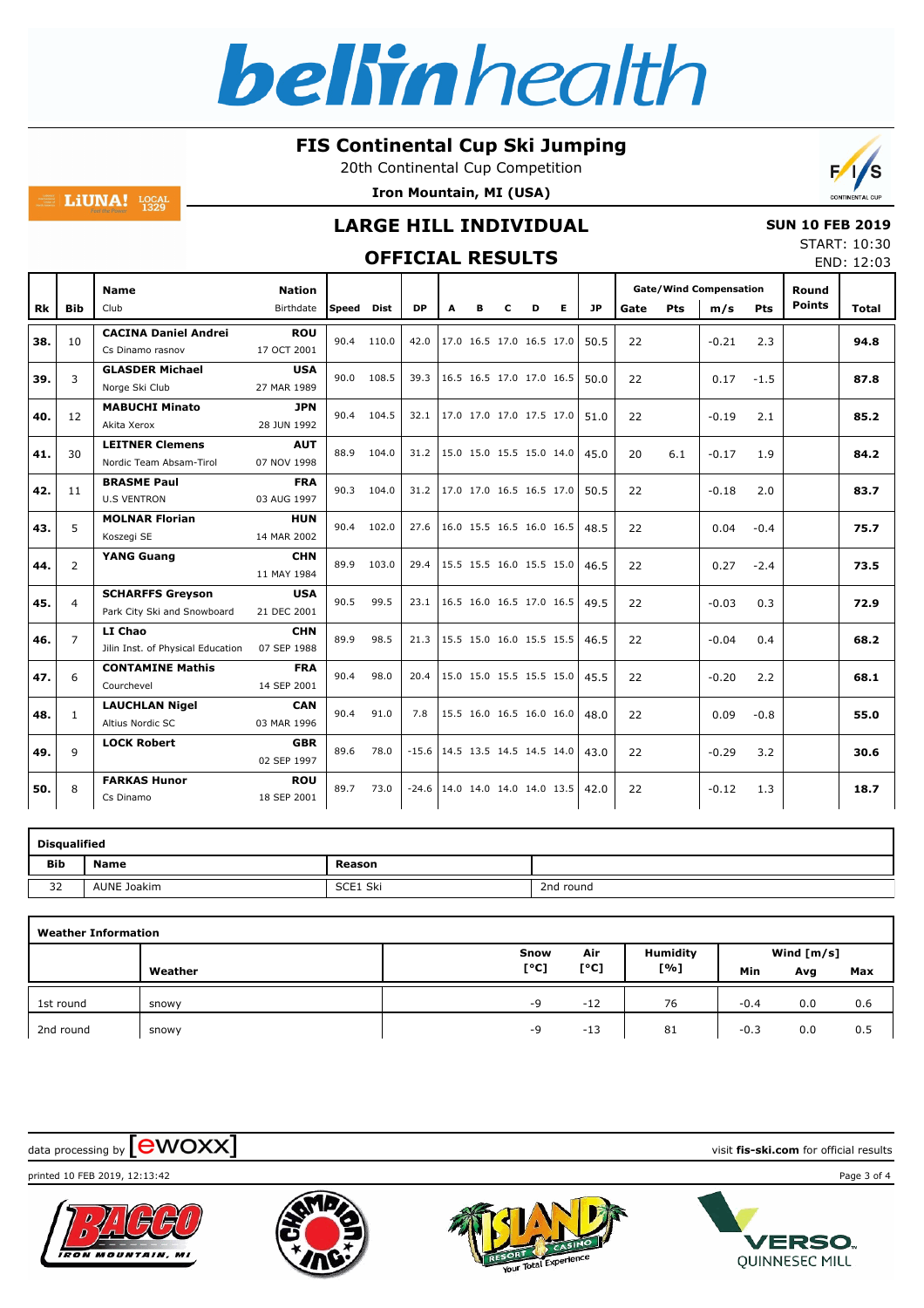

20th Continental Cup Competition

**Iron Mountain, MI (USA)**



## **LARGE HILL INDIVIDUAL**

# **OFFICIAL RESULTS**

|  | <b>SUN 10 FEB 2019</b> |
|--|------------------------|
|  | START: 10:30           |
|  | <b>FNID. 10.00</b>     |

|     |                |                                                        |                            |       |             | VI I ICIAL KLYVLIY               |                               |                          |   |   |   |           |      |            |                                      | END: 12:03 |                        |              |
|-----|----------------|--------------------------------------------------------|----------------------------|-------|-------------|----------------------------------|-------------------------------|--------------------------|---|---|---|-----------|------|------------|--------------------------------------|------------|------------------------|--------------|
| Rk  | <b>Bib</b>     | <b>Name</b><br>Club                                    | <b>Nation</b><br>Birthdate | Speed | <b>Dist</b> | <b>DP</b>                        | A                             | в                        | с | D | Е | <b>JP</b> | Gate | <b>Pts</b> | <b>Gate/Wind Compensation</b><br>m/s | <b>Pts</b> | Round<br><b>Points</b> | <b>Total</b> |
| 38. | 10             | <b>CACINA Daniel Andrei</b><br>Cs Dinamo rasnov        | <b>ROU</b><br>17 OCT 2001  | 90.4  | 110.0       | 42.0                             |                               | 17.0 16.5 17.0 16.5 17.0 |   |   |   | 50.5      | 22   |            | $-0.21$                              | 2.3        |                        | 94.8         |
| 39. | 3              | <b>GLASDER Michael</b><br>Norge Ski Club               | <b>USA</b><br>27 MAR 1989  | 90.0  | 108.5       | 39.3                             |                               | 16.5 16.5 17.0 17.0 16.5 |   |   |   | 50.0      | 22   |            | 0.17                                 | $-1.5$     |                        | 87.8         |
| 40. | 12             | <b>MABUCHI Minato</b><br>Akita Xerox                   | <b>JPN</b><br>28 JUN 1992  | 90.4  | 104.5       | 32.1                             |                               | 17.0 17.0 17.0 17.5 17.0 |   |   |   | 51.0      | 22   |            | $-0.19$                              | 2.1        |                        | 85.2         |
| 41. | 30             | <b>LEITNER Clemens</b><br>Nordic Team Absam-Tirol      | <b>AUT</b><br>07 NOV 1998  | 88.9  | 104.0       |                                  | 31.2 15.0 15.0 15.5 15.0 14.0 |                          |   |   |   | 45.0      | 20   | 6.1        | $-0.17$                              | 1.9        |                        | 84.2         |
| 42. | 11             | <b>BRASME Paul</b><br><b>U.S VENTRON</b>               | <b>FRA</b><br>03 AUG 1997  | 90.3  | 104.0       | 31.2                             |                               | 17.0 17.0 16.5 16.5 17.0 |   |   |   | 50.5      | 22   |            | $-0.18$                              | 2.0        |                        | 83.7         |
| 43. | 5              | <b>MOLNAR Florian</b><br>Koszegi SE                    | <b>HUN</b><br>14 MAR 2002  | 90.4  | 102.0       | 27.6                             |                               | 16.0 15.5 16.5 16.0 16.5 |   |   |   | 48.5      | 22   |            | 0.04                                 | $-0.4$     |                        | 75.7         |
| 44. | $\overline{2}$ | <b>YANG Guang</b>                                      | <b>CHN</b><br>11 MAY 1984  | 89.9  | 103.0       | 29.4                             |                               | 15.5 15.5 16.0 15.5 15.0 |   |   |   | 46.5      | 22   |            | 0.27                                 | $-2.4$     |                        | 73.5         |
| 45. | $\overline{4}$ | <b>SCHARFFS Greyson</b><br>Park City Ski and Snowboard | <b>USA</b><br>21 DEC 2001  | 90.5  | 99.5        |                                  | 23.1 16.5 16.0 16.5 17.0 16.5 |                          |   |   |   | 49.5      | 22   |            | $-0.03$                              | 0.3        |                        | 72.9         |
| 46. | $\overline{7}$ | LI Chao<br>Jilin Inst. of Physical Education           | <b>CHN</b><br>07 SEP 1988  | 89.9  | 98.5        | 21.3                             |                               | 15.5 15.0 16.0 15.5 15.5 |   |   |   | 46.5      | 22   |            | $-0.04$                              | 0.4        |                        | 68.2         |
| 47. | 6              | <b>CONTAMINE Mathis</b><br>Courchevel                  | <b>FRA</b><br>14 SEP 2001  | 90.4  | 98.0        | 20.4                             |                               | 15.0 15.0 15.5 15.5 15.0 |   |   |   | 45.5      | 22   |            | $-0.20$                              | 2.2        |                        | 68.1         |
| 48. | $\mathbf{1}$   | <b>LAUCHLAN Nigel</b><br>Altius Nordic SC              | <b>CAN</b><br>03 MAR 1996  | 90.4  | 91.0        | 7.8                              |                               | 15.5 16.0 16.5 16.0 16.0 |   |   |   | 48.0      | 22   |            | 0.09                                 | $-0.8$     |                        | 55.0         |
| 49. | 9              | <b>LOCK Robert</b>                                     | <b>GBR</b><br>02 SEP 1997  | 89.6  | 78.0        | $-15.6$                          | 14.5 13.5 14.5 14.5 14.0      |                          |   |   |   | 43.0      | 22   |            | $-0.29$                              | 3.2        |                        | 30.6         |
| 50. | 8              | <b>FARKAS Hunor</b><br>Cs Dinamo                       | <b>ROU</b><br>18 SEP 2001  | 89.7  | 73.0        | $-24.6$ 14.0 14.0 14.0 14.0 13.5 |                               |                          |   |   |   | 42.0      | 22   |            | $-0.12$                              | 1.3        |                        | 18.7         |

|            | <b>Disqualified</b> |          |           |
|------------|---------------------|----------|-----------|
| <b>Bib</b> | <b>Name</b>         | Reason   |           |
| 32         | AUNE Joakim         | SCE1 Ski | 2nd round |

| <b>Weather Information</b> |         |      |       |                 |        |              |     |
|----------------------------|---------|------|-------|-----------------|--------|--------------|-----|
|                            |         | Snow | Air   | <b>Humidity</b> |        | Wind $[m/s]$ |     |
|                            | Weather | [°C] | [°C]  | [%]             | Min    | Avg          | Max |
| 1st round                  | snowy   | $-9$ | $-12$ | 76              | $-0.4$ | 0.0          | 0.6 |
| 2nd round                  | snowy   | -9   | $-13$ | 81              | $-0.3$ | 0.0          | 0.5 |

data processing by **CWOXX** and  $\blacksquare$  wisit **fis-ski.com** for official results

**LiUNA!**  $_{1329}^{LOCAL}$ 











**VERSO.** 

**QUINNESEC MILL**